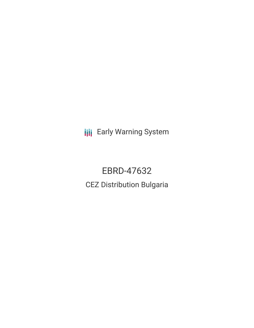**III** Early Warning System

EBRD-47632 CEZ Distribution Bulgaria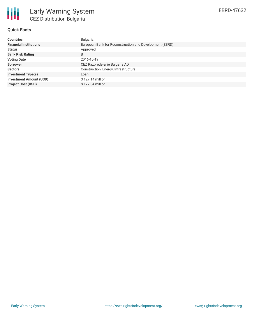

# **Quick Facts**

| <b>Countries</b>               | <b>Bulgaria</b>                                         |
|--------------------------------|---------------------------------------------------------|
| <b>Financial Institutions</b>  | European Bank for Reconstruction and Development (EBRD) |
| <b>Status</b>                  | Approved                                                |
| <b>Bank Risk Rating</b>        | B                                                       |
| <b>Voting Date</b>             | 2016-10-19                                              |
| <b>Borrower</b>                | CEZ Razpredelenie Bulgaria AD                           |
| <b>Sectors</b>                 | Construction, Energy, Infrastructure                    |
| <b>Investment Type(s)</b>      | Loan                                                    |
| <b>Investment Amount (USD)</b> | $$127.14$ million                                       |
| <b>Project Cost (USD)</b>      | \$127.04 million                                        |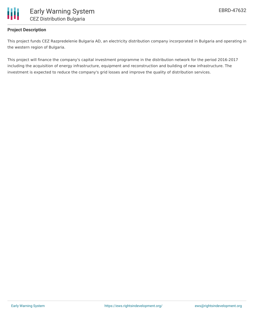

# **Project Description**

This project funds CEZ Razpredelenie Bulgaria AD, an electricity distribution company incorporated in Bulgaria and operating in the western region of Bulgaria.

This project will finance the company's capital investment programme in the distribution network for the period 2016-2017 including the acquisition of energy infrastructure, equipment and reconstruction and building of new infrastructure. The investment is expected to reduce the company's grid losses and improve the quality of distribution services.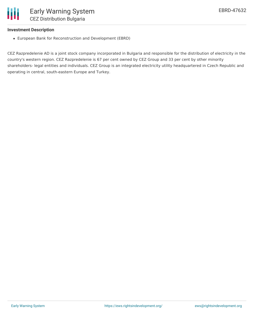

### **Investment Description**

European Bank for Reconstruction and Development (EBRD)

CEZ Razpredelenie AD is a joint stock company incorporated in Bulgaria and responsible for the distribution of electricity in the country's western region. CEZ Razpredelenie is 67 per cent owned by CEZ Group and 33 per cent by other minority shareholders- legal entities and individuals. CEZ Group is an integrated electricity utility headquartered in Czech Republic and operating in central, south-eastern Europe and Turkey.